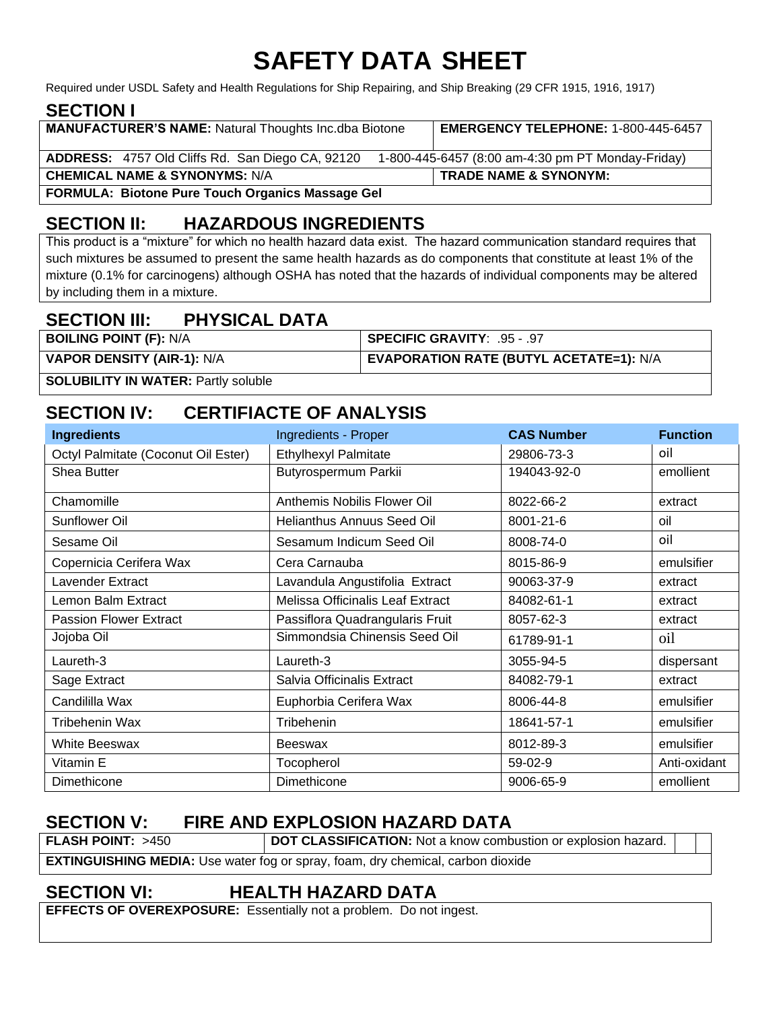# **SAFETY DATA SHEET**

Required under USDL Safety and Health Regulations for Ship Repairing, and Ship Breaking (29 CFR 1915, 1916, 1917)

### **SECTION I**

| <b>MANUFACTURER'S NAME:</b> Natural Thoughts Inc.dba Biotone | <b>EMERGENCY TELEPHONE: 1-800-445-6457</b>        |  |
|--------------------------------------------------------------|---------------------------------------------------|--|
| ADDRESS: 4757 Old Cliffs Rd. San Diego CA, 92120             | 1-800-445-6457 (8:00 am-4:30 pm PT Monday-Friday) |  |
| <b>CHEMICAL NAME &amp; SYNONYMS: N/A</b>                     | <b>TRADE NAME &amp; SYNONYM:</b>                  |  |
| <b>FORMULA: Biotone Pure Touch Organics Massage Gel</b>      |                                                   |  |

### **SECTION II: HAZARDOUS INGREDIENTS**

This product is a "mixture" for which no health hazard data exist. The hazard communication standard requires that such mixtures be assumed to present the same health hazards as do components that constitute at least 1% of the mixture (0.1% for carcinogens) although OSHA has noted that the hazards of individual components may be altered by including them in a mixture.

### **SECTION III: PHYSICAL DATA**

| <b>BOILING POINT (F): N/A</b>     | SPECIFIC GRAVITY: .95 - .97             |
|-----------------------------------|-----------------------------------------|
| <b>VAPOR DENSITY (AIR-1): N/A</b> | EVAPORATION RATE (BUTYL ACETATE=1): N/A |
|                                   |                                         |

**SOLUBILITY IN WATER: Partly soluble** 

### **SECTION IV: CERTIFIACTE OF ANALYSIS**

| <b>Ingredients</b>                  | Ingredients - Proper             | <b>CAS Number</b> | <b>Function</b> |
|-------------------------------------|----------------------------------|-------------------|-----------------|
| Octyl Palmitate (Coconut Oil Ester) | <b>Ethylhexyl Palmitate</b>      | 29806-73-3        | oil             |
| Shea Butter                         | Butyrospermum Parkii             | 194043-92-0       | emollient       |
| Chamomille                          | Anthemis Nobilis Flower Oil      | 8022-66-2         | extract         |
| Sunflower Oil                       | Helianthus Annuus Seed Oil       | 8001-21-6         | oil             |
| Sesame Oil                          | Sesamum Indicum Seed Oil         | 8008-74-0         | oil             |
| Copernicia Cerifera Wax             | Cera Carnauba                    | 8015-86-9         | emulsifier      |
| Lavender Extract                    | Lavandula Angustifolia Extract   | 90063-37-9        | extract         |
| Lemon Balm Extract                  | Melissa Officinalis Leaf Extract | 84082-61-1        | extract         |
| <b>Passion Flower Extract</b>       | Passiflora Quadrangularis Fruit  | 8057-62-3         | extract         |
| Jojoba Oil                          | Simmondsia Chinensis Seed Oil    | 61789-91-1        | oil             |
| Laureth-3                           | Laureth-3                        | 3055-94-5         | dispersant      |
| Sage Extract                        | Salvia Officinalis Extract       | 84082-79-1        | extract         |
| Candililla Wax                      | Euphorbia Cerifera Wax           | 8006-44-8         | emulsifier      |
| Tribehenin Wax                      | Tribehenin                       | 18641-57-1        | emulsifier      |
| <b>White Beeswax</b>                | Beeswax                          | 8012-89-3         | emulsifier      |
| Vitamin E                           | Tocopherol                       | 59-02-9           | Anti-oxidant    |
| Dimethicone                         | Dimethicone                      | 9006-65-9         | emollient       |

### **SECTION V: FIRE AND EXPLOSION HAZARD DATA**

**FLASH POINT:** >450 **DOT CLASSIFICATION:** Not a know combustion or explosion hazard.

**EXTINGUISHING MEDIA:** Use water fog or spray, foam, dry chemical, carbon dioxide

### **SECTION VI: HEALTH HAZARD DATA**

**EFFECTS OF OVEREXPOSURE:** Essentially not a problem. Do not ingest.